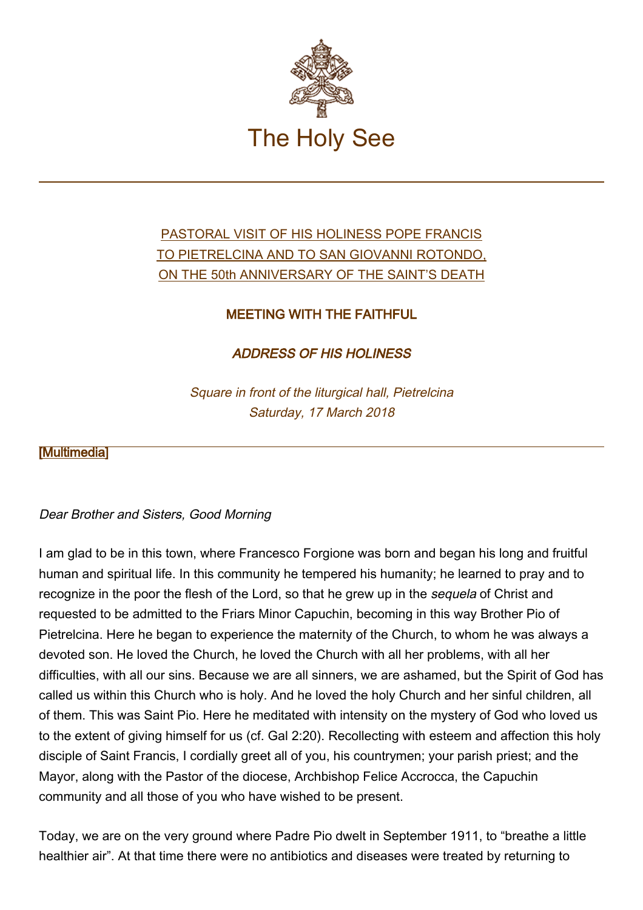

# [PASTORAL VISIT OF HIS HOLINESS POPE FRANCIS](http://w2.vatican.va/content/francesco/en/travels/2018/inside/documents/papa-francesco-pietrelcina-sangiovannirotondo_2018.html) [TO PIETRELCINA AND TO SAN GIOVANNI ROTONDO,](http://w2.vatican.va/content/francesco/en/travels/2018/inside/documents/papa-francesco-pietrelcina-sangiovannirotondo_2018.html) [ON THE 50th ANNIVERSARY OF THE SAINT'S DEATH](http://w2.vatican.va/content/francesco/en/travels/2018/inside/documents/papa-francesco-pietrelcina-sangiovannirotondo_2018.html)

## MEETING WITH THE FAITHFUL

ADDRESS OF HIS HOLINESS

Square in front of the liturgical hall, Pietrelcina Saturday, 17 March 2018

### [\[Multimedia](http://w2.vatican.va/content/francesco/en/events/event.dir.html/content/vaticanevents/en/2018/3/17/pietrelcina-fedeli.html)]

### Dear Brother and Sisters, Good Morning

I am glad to be in this town, where Francesco Forgione was born and began his long and fruitful human and spiritual life. In this community he tempered his humanity; he learned to pray and to recognize in the poor the flesh of the Lord, so that he grew up in the sequela of Christ and requested to be admitted to the Friars Minor Capuchin, becoming in this way Brother Pio of Pietrelcina. Here he began to experience the maternity of the Church, to whom he was always a devoted son. He loved the Church, he loved the Church with all her problems, with all her difficulties, with all our sins. Because we are all sinners, we are ashamed, but the Spirit of God has called us within this Church who is holy. And he loved the holy Church and her sinful children, all of them. This was Saint Pio. Here he meditated with intensity on the mystery of God who loved us to the extent of giving himself for us (cf. Gal 2:20). Recollecting with esteem and affection this holy disciple of Saint Francis, I cordially greet all of you, his countrymen; your parish priest; and the Mayor, along with the Pastor of the diocese, Archbishop Felice Accrocca, the Capuchin community and all those of you who have wished to be present.

Today, we are on the very ground where Padre Pio dwelt in September 1911, to "breathe a little healthier air". At that time there were no antibiotics and diseases were treated by returning to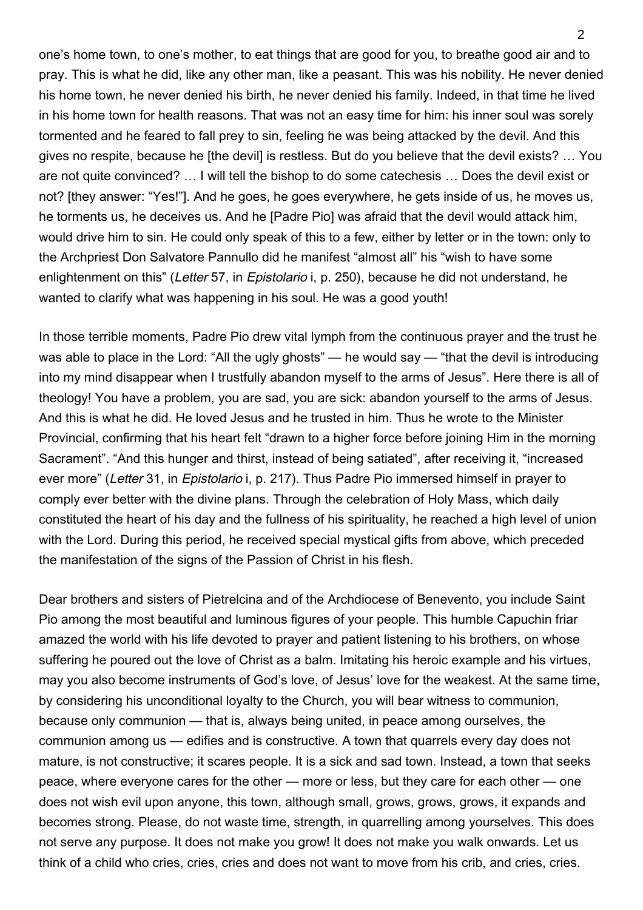one's home town, to one's mother, to eat things that are good for you, to breathe good air and to pray. This is what he did, like any other man, like a peasant. This was his nobility. He never denied his home town, he never denied his birth, he never denied his family. Indeed, in that time he lived in his home town for health reasons. That was not an easy time for him: his inner soul was sorely tormented and he feared to fall prey to sin, feeling he was being attacked by the devil. And this gives no respite, because he [the devil] is restless. But do you believe that the devil exists? … You are not quite convinced? … I will tell the bishop to do some catechesis … Does the devil exist or not? [they answer: "Yes!"]. And he goes, he goes everywhere, he gets inside of us, he moves us, he torments us, he deceives us. And he [Padre Pio] was afraid that the devil would attack him, would drive him to sin. He could only speak of this to a few, either by letter or in the town: only to the Archpriest Don Salvatore Pannullo did he manifest "almost all" his "wish to have some enlightenment on this" (Letter 57, in Epistolario i, p. 250), because he did not understand, he wanted to clarify what was happening in his soul. He was a good youth!

In those terrible moments, Padre Pio drew vital lymph from the continuous prayer and the trust he was able to place in the Lord: "All the ugly ghosts" — he would say — "that the devil is introducing into my mind disappear when I trustfully abandon myself to the arms of Jesus". Here there is all of theology! You have a problem, you are sad, you are sick: abandon yourself to the arms of Jesus. And this is what he did. He loved Jesus and he trusted in him. Thus he wrote to the Minister Provincial, confirming that his heart felt "drawn to a higher force before joining Him in the morning Sacrament". "And this hunger and thirst, instead of being satiated", after receiving it, "increased ever more" (Letter 31, in Epistolario i, p. 217). Thus Padre Pio immersed himself in prayer to comply ever better with the divine plans. Through the celebration of Holy Mass, which daily constituted the heart of his day and the fullness of his spirituality, he reached a high level of union with the Lord. During this period, he received special mystical gifts from above, which preceded the manifestation of the signs of the Passion of Christ in his flesh.

Dear brothers and sisters of Pietrelcina and of the Archdiocese of Benevento, you include Saint Pio among the most beautiful and luminous figures of your people. This humble Capuchin friar amazed the world with his life devoted to prayer and patient listening to his brothers, on whose suffering he poured out the love of Christ as a balm. Imitating his heroic example and his virtues, may you also become instruments of God's love, of Jesus' love for the weakest. At the same time, by considering his unconditional loyalty to the Church, you will bear witness to communion, because only communion — that is, always being united, in peace among ourselves, the communion among us — edifies and is constructive. A town that quarrels every day does not mature, is not constructive; it scares people. It is a sick and sad town. Instead, a town that seeks peace, where everyone cares for the other — more or less, but they care for each other — one does not wish evil upon anyone, this town, although small, grows, grows, grows, it expands and becomes strong. Please, do not waste time, strength, in quarrelling among yourselves. This does not serve any purpose. It does not make you grow! It does not make you walk onwards. Let us think of a child who cries, cries, cries and does not want to move from his crib, and cries, cries.